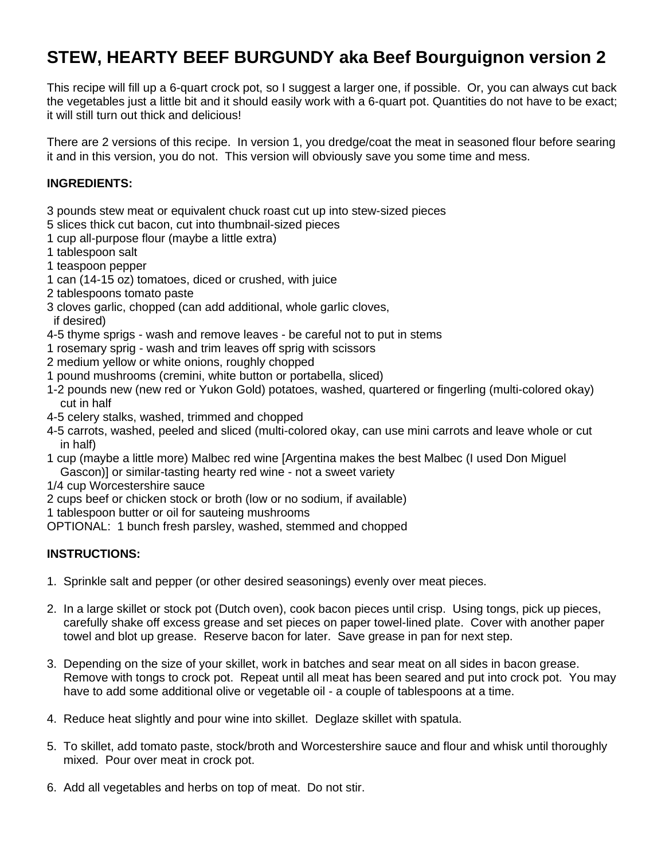## **STEW, HEARTY BEEF BURGUNDY aka Beef Bourguignon version 2**

This recipe will fill up a 6-quart crock pot, so I suggest a larger one, if possible. Or, you can always cut back the vegetables just a little bit and it should easily work with a 6-quart pot. Quantities do not have to be exact; it will still turn out thick and delicious!

There are 2 versions of this recipe. In version 1, you dredge/coat the meat in seasoned flour before searing it and in this version, you do not. This version will obviously save you some time and mess.

## **INGREDIENTS:**

3 pounds stew meat or equivalent chuck roast cut up into stew-sized pieces

- 5 slices thick cut bacon, cut into thumbnail-sized pieces
- 1 cup all-purpose flour (maybe a little extra)
- 1 tablespoon salt
- 1 teaspoon pepper
- 1 can (14-15 oz) tomatoes, diced or crushed, with juice
- 2 tablespoons tomato paste
- 3 cloves garlic, chopped (can add additional, whole garlic cloves,
- if desired)
- 4-5 thyme sprigs wash and remove leaves be careful not to put in stems
- 1 rosemary sprig wash and trim leaves off sprig with scissors
- 2 medium yellow or white onions, roughly chopped
- 1 pound mushrooms (cremini, white button or portabella, sliced)
- 1-2 pounds new (new red or Yukon Gold) potatoes, washed, quartered or fingerling (multi-colored okay) cut in half
- 4-5 celery stalks, washed, trimmed and chopped
- 4-5 carrots, washed, peeled and sliced (multi-colored okay, can use mini carrots and leave whole or cut in half)
- 1 cup (maybe a little more) Malbec red wine [Argentina makes the best Malbec (I used Don Miguel Gascon)] or similar-tasting hearty red wine - not a sweet variety
- 1/4 cup Worcestershire sauce
- 2 cups beef or chicken stock or broth (low or no sodium, if available)
- 1 tablespoon butter or oil for sauteing mushrooms
- OPTIONAL: 1 bunch fresh parsley, washed, stemmed and chopped

## **INSTRUCTIONS:**

- 1. Sprinkle salt and pepper (or other desired seasonings) evenly over meat pieces.
- 2. In a large skillet or stock pot (Dutch oven), cook bacon pieces until crisp. Using tongs, pick up pieces, carefully shake off excess grease and set pieces on paper towel-lined plate. Cover with another paper towel and blot up grease. Reserve bacon for later. Save grease in pan for next step.
- 3. Depending on the size of your skillet, work in batches and sear meat on all sides in bacon grease. Remove with tongs to crock pot. Repeat until all meat has been seared and put into crock pot. You may have to add some additional olive or vegetable oil - a couple of tablespoons at a time.
- 4. Reduce heat slightly and pour wine into skillet. Deglaze skillet with spatula.
- 5. To skillet, add tomato paste, stock/broth and Worcestershire sauce and flour and whisk until thoroughly mixed. Pour over meat in crock pot.
- 6. Add all vegetables and herbs on top of meat. Do not stir.